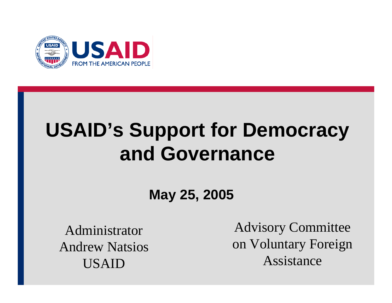

# **USAID's Support for Democracy and Governance**

**May 25, 2005**

Administrator Andrew Natsios USAID

Advisory Committee on Voluntary Foreign Assistance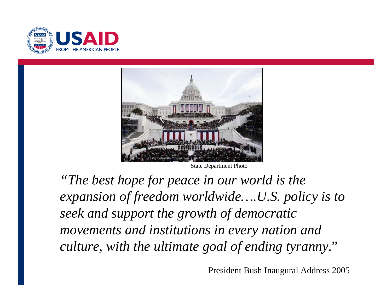



State Department Photo

*"The best hope for peace in our world is the expansion of freedom worldwide….U.S. policy is to seek and support the growth of democratic movements and institutions in every nation and culture, with the ultimate goal of ending tyranny*."

President Bush Inaugural Address 2005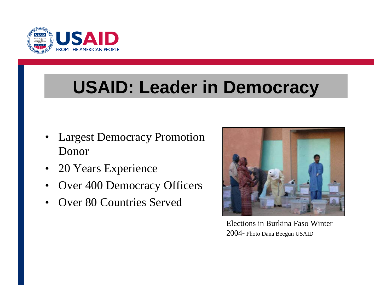

## **USAID: Leader in Democracy**

- • Largest Democracy Promotion Donor
- $\bullet$ 20 Years Experience
- $\bullet$ Over 400 Democracy Officers
- $\bullet$ Over 80 Countries Served



Elections in Burkina Faso Winter 2004- Photo Dana Beegun USAID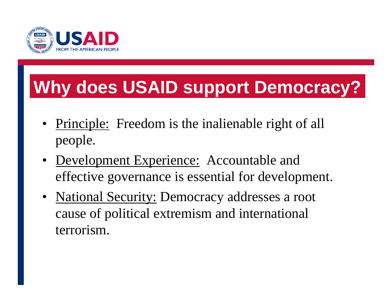

# **Why does USAID support Democracy?**

- Principle: Freedom is the inalienable right of all people.
- <u>Development Experience:</u> Accountable and effective governance is essential for development.
- National Security: Democracy addresses a root cause of political extremism and international terrorism.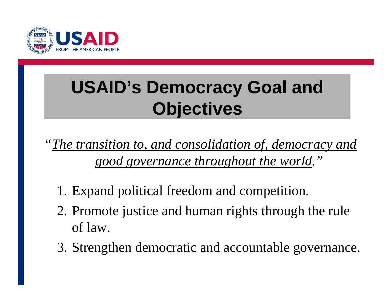

# **USAID's Democracy Goal and Objectives**

*"The transition to, and consolidation of, democracy and good governance throughout the world."*

- 1. Expand political freedom and competition.
- 2. Promote justice and human rights through the rule of law.
- 3. Strengthen democratic and accountable governance.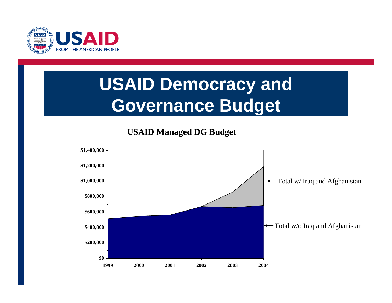

## **USAID Democracy and Governance Budget**

**USAID Managed DG Budget**

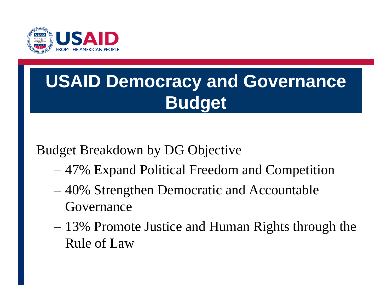

## **USAID Democracy and Governance Budget**

### Budget Breakdown by DG Objective

- 47% Expand Political Freedom and Competition
- 40% Strengthen Democratic and Accountable Governance
- 13% Promote Justice and Human Rights through the Rule of Law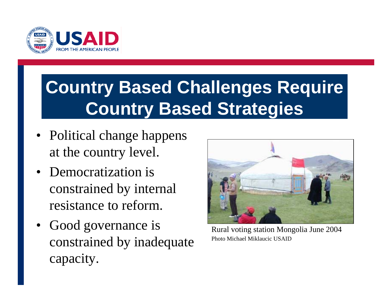

## **Country Based Challenges Require Country Based Strategies**

- Political change happens at the country level.
- Democratization is constrained by internal resistance to reform.
- Good governance is constrained by inadequate capacity.



Rural voting station Mongolia June 2004 Photo Michael Miklaucic USAID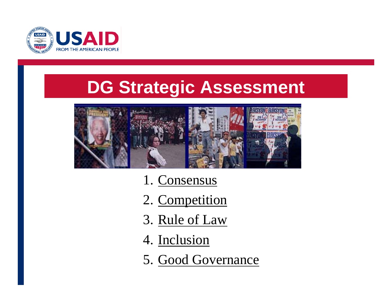

### **DG Strategic Assessment**



- 1. Consensus
- 2. Competition
- 3. Rule of Law
- 4. Inclusion
- 5. Good Governance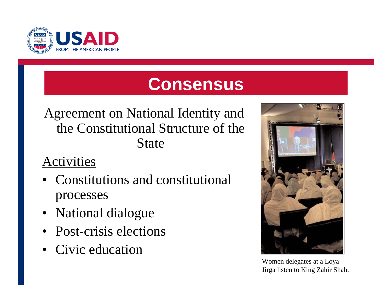

### **Consensus**

#### Agreement on National Identity and the Constitutional Structure of the State

- • Constitutions and constitutional processes
- National dialogue
- Post-crisis elections
- Civic education



Women delegates at a Loya Jirga listen to King Zahir Shah.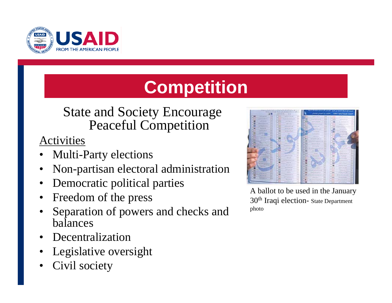

# **Competition**

#### State and Society Encourage Peaceful Competition

- •Multi-Party elections
- •Non-partisan electoral administration
- •Democratic political parties
- •Freedom of the press
- • Separation of powers and checks and balances
- •Decentralization
- •Legislative oversight
- •Civil society

|                                                                             |        | <b>STATISTICS</b> | <b>BULGARY AND THE CONTRACT AND ARREST AT A 1971 TO</b><br>Management of the All Institute of the Art and Art and |                | مصحبها كملو المسكلة كالمحترك في أهر في - المسجوم بالتي تدريجهم بالشادوالي 1.<br>التعلقة كتعما الرطبة أألقانه المخادر والمعتان تخلجان |                                                                    |            |    |                                                           |   |
|-----------------------------------------------------------------------------|--------|-------------------|-------------------------------------------------------------------------------------------------------------------|----------------|--------------------------------------------------------------------------------------------------------------------------------------|--------------------------------------------------------------------|------------|----|-----------------------------------------------------------|---|
|                                                                             |        | ______            |                                                                                                                   |                |                                                                                                                                      |                                                                    |            |    |                                                           |   |
| <b>STATISTICS</b><br>----                                                   |        |                   | <b>CARLIN S. JEWEL</b><br><b>Constitution of the American</b>                                                     | m              |                                                                                                                                      | and the party country.                                             | <b>Sat</b> |    | -----                                                     |   |
| and all the state of the state                                              |        |                   | were planted as a power<br><b>Common</b>                                                                          | $\sim$         |                                                                                                                                      | distant state and                                                  |            |    | and the Frank of the                                      | ٠ |
| <b><i>CARD IN CASE OF</i></b><br>the company of                             |        |                   | and President                                                                                                     | m              |                                                                                                                                      | <b>But the property of the case</b><br><b>DIRECTOR/TWO</b>         | -          |    | and and the following company                             |   |
| all of the seconds                                                          | ۰      |                   | <b>CARD COMMAND</b>                                                                                               |                |                                                                                                                                      | that are in the law of the same                                    |            |    | and the set of a country                                  |   |
| <b>CONTRACTOR</b>                                                           | -      |                   | and and control of the                                                                                            | -              |                                                                                                                                      | and the control of the con-<br><b>Bank and come</b>                |            |    | ---<br><b><i><u><i>ARADO MENSIONALES</i></u></i></b>      |   |
| <b>BALLAST</b>                                                              | ۰      | <b>TEI</b>        | ___<br>21212110                                                                                                   |                |                                                                                                                                      | <b>Barriet College</b><br><b>Contract And State Local</b>          | m          |    | <b><i><u>State of Contractors</u></i></b>                 |   |
| ----<br>and of the local car                                                | ×<br>m |                   | <b>Contract Contract</b><br><b>Street of America</b>                                                              |                |                                                                                                                                      |                                                                    |            |    | <b>STATISTICS</b>                                         |   |
| the party street process and<br><b><i><i><u>A PAPERTING AND</u></i></i></b> |        | -<br>m            | <b>Carl Common</b><br><b>Security</b>                                                                             |                |                                                                                                                                      | <b>SAFERFIELD</b>                                                  |            |    | an will a black<br><b>SALES AND AND</b>                   |   |
| --<br>--                                                                    | ×<br>- | w<br>×            | --                                                                                                                |                |                                                                                                                                      | <b>WHERE READY</b>                                                 | m          |    | <b>Burning Contractor</b>                                 |   |
| ---                                                                         | ٠<br>  |                   | all the product service<br>AT OF THE                                                                              |                |                                                                                                                                      | <b>CARLINE</b><br><b>CARD MARKET</b>                               |            |    | <b>LATIN ROW</b><br>-----                                 |   |
| <b>STATISTICS</b>                                                           |        |                   | <b><i>Profit Bally Links</i></b>                                                                                  |                | ۰                                                                                                                                    | <b>Broth sale Authorities and</b>                                  |            |    | at has a set at                                           |   |
|                                                                             | ۰      | $\sim$            | the form and com-<br><b>CONTRACTOR</b>                                                                            |                | ۰<br>-                                                                                                                               | households their completely at colors. Should<br><b>CONTRACTOR</b> |            |    | -                                                         |   |
| <b>HARLING COLLEGE</b>                                                      | ×<br>÷ |                   | <b>START Law AT THE</b><br><b>STATISTICS</b>                                                                      |                | -<br><b>Cold</b>                                                                                                                     | <b>And Contact Contact Contact</b>                                 | ٠          |    | ----                                                      |   |
| printed in all off-services                                                 | -      |                   | <b>Reserved and complete</b><br><b>CONTRACTOR</b>                                                                 | <b>Service</b> | <br>٠                                                                                                                                | <b>STATE GALLANT</b>                                               |            |    | <b>Service</b><br><b>THE VIOLET</b>                       |   |
| <b>Branchise Co.</b><br><b>STATISTICS</b>                                   |        |                   | And in the factory<br><b>Contractor Administration</b>                                                            | <b>Service</b> | ,,,<br>                                                                                                                              | <b>Charles Concert Company</b><br>political provincia-cost lines   |            |    | and construction                                          |   |
| .<br><b>Contractor</b>                                                      |        | в                 | <b>Minimum Adam</b>                                                                                               | Tur.<br>$-$    |                                                                                                                                      | <b>CONTRACTOR</b><br><b>Send Marshall</b>                          | -          |    | <b>STATISTICS</b><br>Although Art College                 |   |
| stated of the color<br>.,<br>---                                            |        |                   | --<br><b>Contract Contract Contract</b>                                                                           | ــ<br>m        | <b>Sunt</b>                                                                                                                          | <b>STATISTICS</b>                                                  |            |    | <b>STANDARD A</b><br><b>Barry Conference Concerts and</b> | - |
| <b>Ballywood</b><br><b>Contract Contract</b>                                |        |                   | <b>Control Labour Control</b>                                                                                     |                | ×                                                                                                                                    | <b>Bank of County</b>                                              |            |    | and the party of the                                      | - |
| <b><i>CATARINAH</i></b>                                                     |        | ٠                 | <b>STATISTICS</b><br><b>Business</b>                                                                              |                |                                                                                                                                      |                                                                    |            |    | <b>Brand Corporation</b>                                  |   |
| ---<br><b>STATISTICS</b>                                                    | ۰<br>  |                   | <b><i><u>A distribution of the profit for a set</u></i></b>                                                       | ٠<br>$\sim$    |                                                                                                                                      | <b>Service</b> House Group<br><b>STATISTICS</b>                    | ٠          |    | and the property of the local                             |   |
| <b>Ballymouth Car</b>                                                       |        |                   | ___<br><b>Harry Corporation</b>                                                                                   | m<br>          |                                                                                                                                      | <b>MARINE LA LA</b><br>---                                         | . .        |    | <b>All Card Highland</b><br><b>All Products</b>           |   |
| <b>Warezens</b><br><b>COLLAPAGNA</b>                                        |        |                   |                                                                                                                   |                |                                                                                                                                      | <b>CONTRACTOR</b><br>-                                             | . .        |    | print of the con-<br>.                                    |   |
| <b>Salte State</b>                                                          |        |                   | and the distance.                                                                                                 |                |                                                                                                                                      | ---<br><b>Authority</b> Links                                      | -          |    | ALCOHOL: MANAGE<br><b>CONTRACTOR</b>                      |   |
| <b>All Statements on</b>                                                    |        |                   | <b>Service Service</b><br>----                                                                                    |                | ٠                                                                                                                                    | <b>Professional Control</b>                                        | -          |    | and and call<br><b>STATISTICS</b>                         |   |
| --                                                                          |        |                   | dealer and cards                                                                                                  |                |                                                                                                                                      | and and announced from<br>the first party and sufficient           | $\sim$     |    | <b>CONTRACTOR</b><br>---------                            |   |
| <b>Charles Commercial</b><br><b>CONTRACTOR</b>                              |        |                   | <b>Shirt Corp.</b><br><b>Carl Avenue</b>                                                                          |                |                                                                                                                                      | and an automatical<br>and the company's company's                  |            | ×. | Life and Life and                                         |   |
| the factor                                                                  |        |                   | distances and such                                                                                                |                |                                                                                                                                      | perceptions and product and a first                                |            |    | and the place on the country                              | × |
| <b>ALL AVE IN</b>                                                           |        |                   | <b>Professor College Inc.</b><br>----                                                                             |                |                                                                                                                                      |                                                                    |            | w  | <b>CONTRACTOR</b><br><b>RIFICATION</b>                    |   |
|                                                                             |        |                   | Michigan and<br>---                                                                                               |                |                                                                                                                                      | <b>LESS AND THE REAL</b><br>--------                               |            |    | ---<br>all card of private                                |   |
|                                                                             |        |                   | <b>Controlled and Control</b>                                                                                     |                |                                                                                                                                      | pleasant go the admiracy."                                         | -          |    | <b>Bill All And Care</b>                                  |   |

A ballot to be used in the January 30th Iraqi election- State Department photo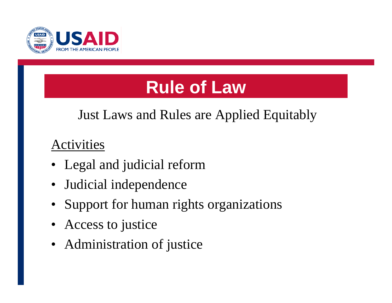

## **Rule of Law**

### Just Laws and Rules are Applied Equitably

- Legal and judicial reform
- $\bullet$ Judicial independence
- •Support for human rights organizations
- $\bullet$ Access to justice
- Administration of justice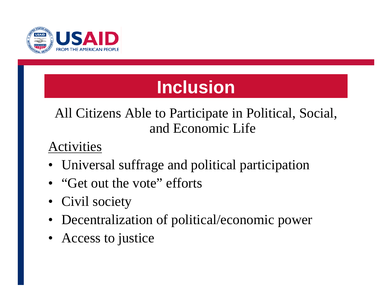

## **Inclusion**

### All Citizens Able to Participate in Political, Social, and Economic Life

- Universal suffrage and political participation
- "Get out the vote" efforts
- Civil society
- Decentralization of political/economic power
- Access to justice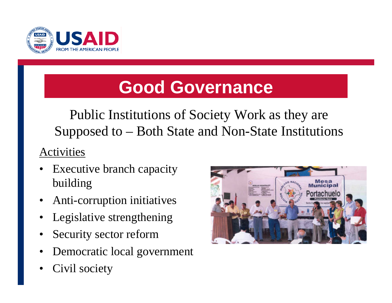

### **Good Governance**

Public Institutions of Society Work as they are Supposed to – Both State and Non-State Institutions

- • Executive branch capacity building
- •Anti-corruption initiatives
- •Legislative strengthening
- •Security sector reform
- •Democratic local government
- •Civil society

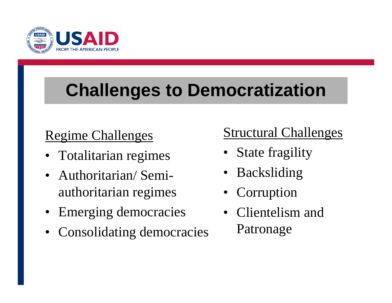

## **Challenges to Democratization**

### Regime Challenges

- Totalitarian regimes
- Authoritarian/ Semiauthoritarian regimes
- Emerging democracies
- Consolidating democracies

### Structural Challenges

- State fragility
- •Backsliding
- Corruption
- Clientelism and Patronage